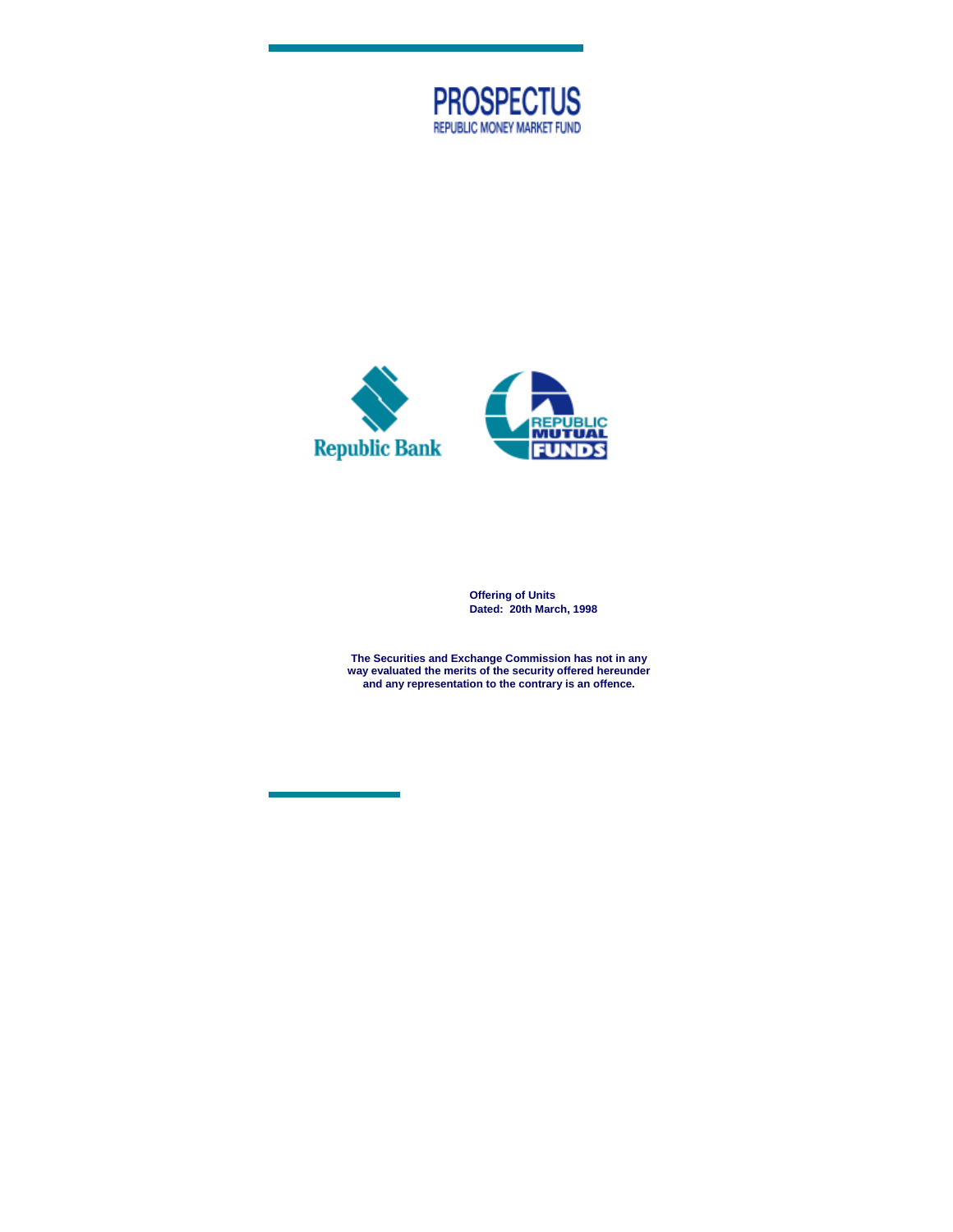



**Offering of Units Dated: 20th March, 1998** 

**The Securities and Exchange Commission has not in any way evaluated the merits of the security offered hereunder and any representation to the contrary is an offence.**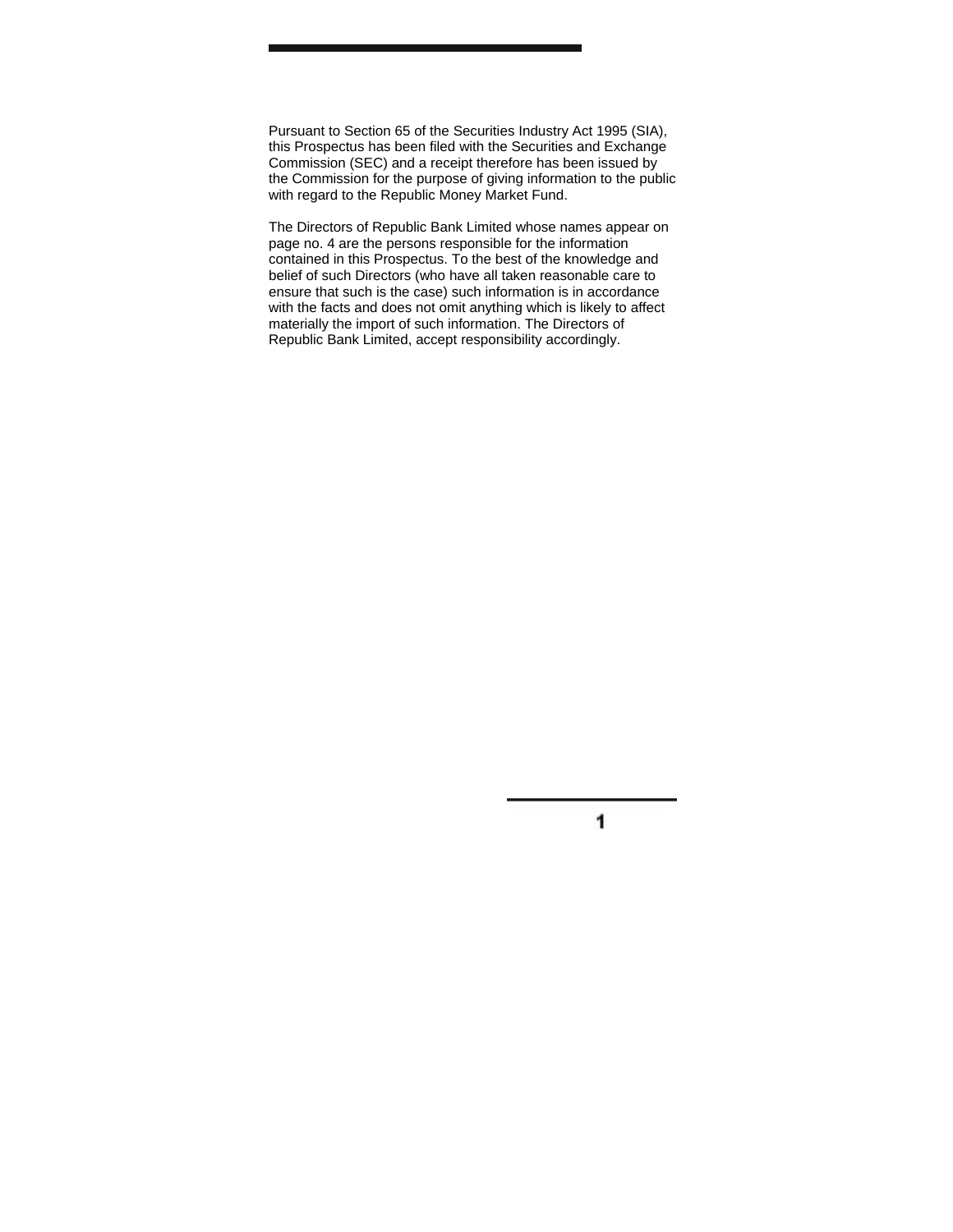Pursuant to Section 65 of the Securities Industry Act 1995 (SIA), this Prospectus has been filed with the Securities and Exchange Commission (SEC) and a receipt therefore has been issued by the Commission for the purpose of giving information to the public with regard to the Republic Money Market Fund.

The Directors of Republic Bank Limited whose names appear on page no. 4 are the persons responsible for the information contained in this Prospectus. To the best of the knowledge and belief of such Directors (who have all taken reasonable care to ensure that such is the case) such information is in accordance with the facts and does not omit anything which is likely to affect materially the import of such information. The Directors of Republic Bank Limited, accept responsibility accordingly.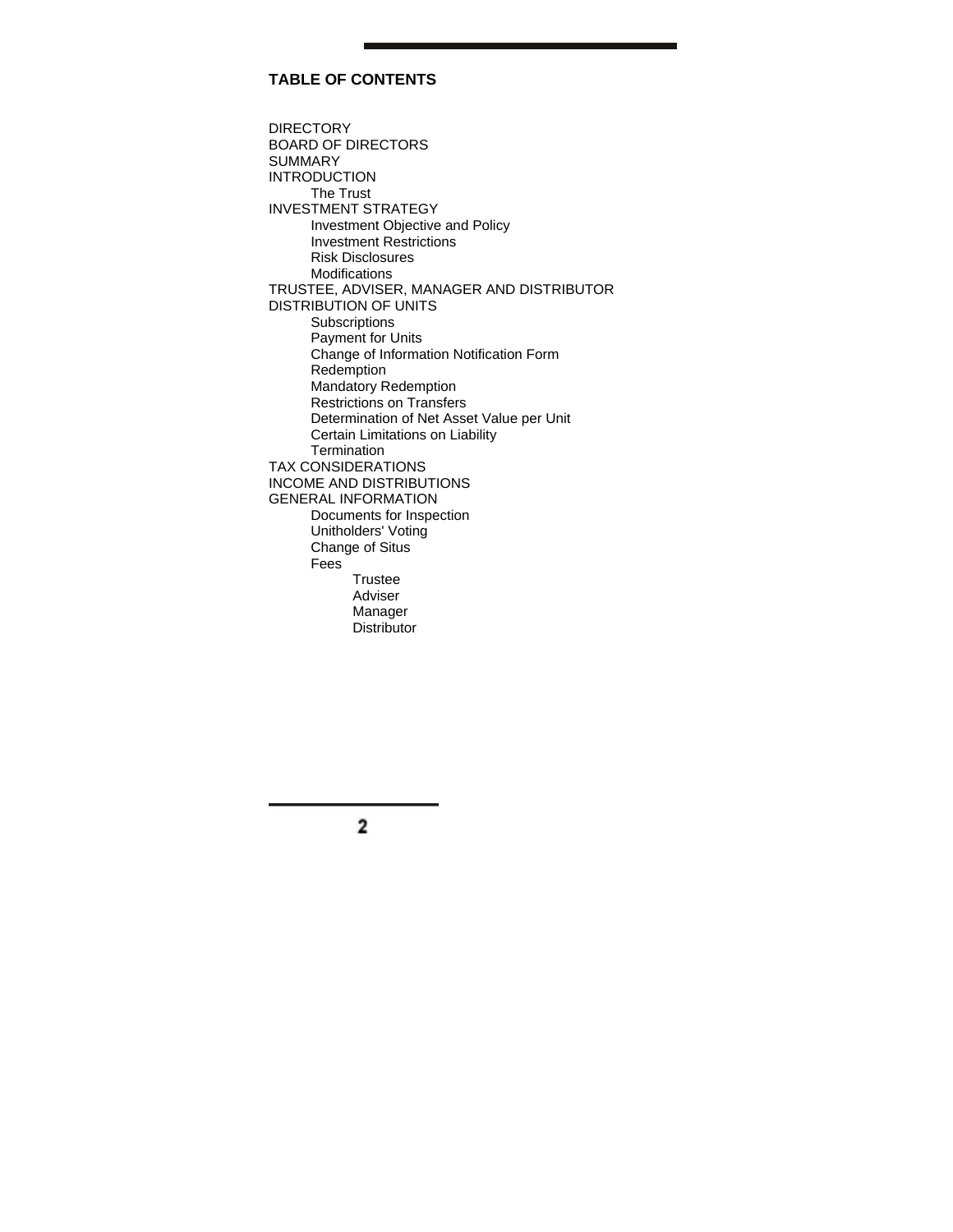# **TABLE OF CONTENTS**

DIRECTORY BOARD OF DIRECTORS SUMMARY INTRODUCTION The Trust INVESTMENT STRATEGY Investment Objective and Policy Investment Restrictions Risk Disclosures Modifications TRUSTEE, ADVISER, MANAGER AND DISTRIBUTOR DISTRIBUTION OF UNITS Subscriptions Payment for Units Change of Information Notification Form Redemption Mandatory Redemption Restrictions on Transfers Determination of Net Asset Value per Unit Certain Limitations on Liability **Termination** TAX CONSIDERATIONS INCOME AND DISTRIBUTIONS GENERAL INFORMATION Documents for Inspection Unitholders' Voting Change of Situs Fees **Trustee**  Adviser Manager **Distributor**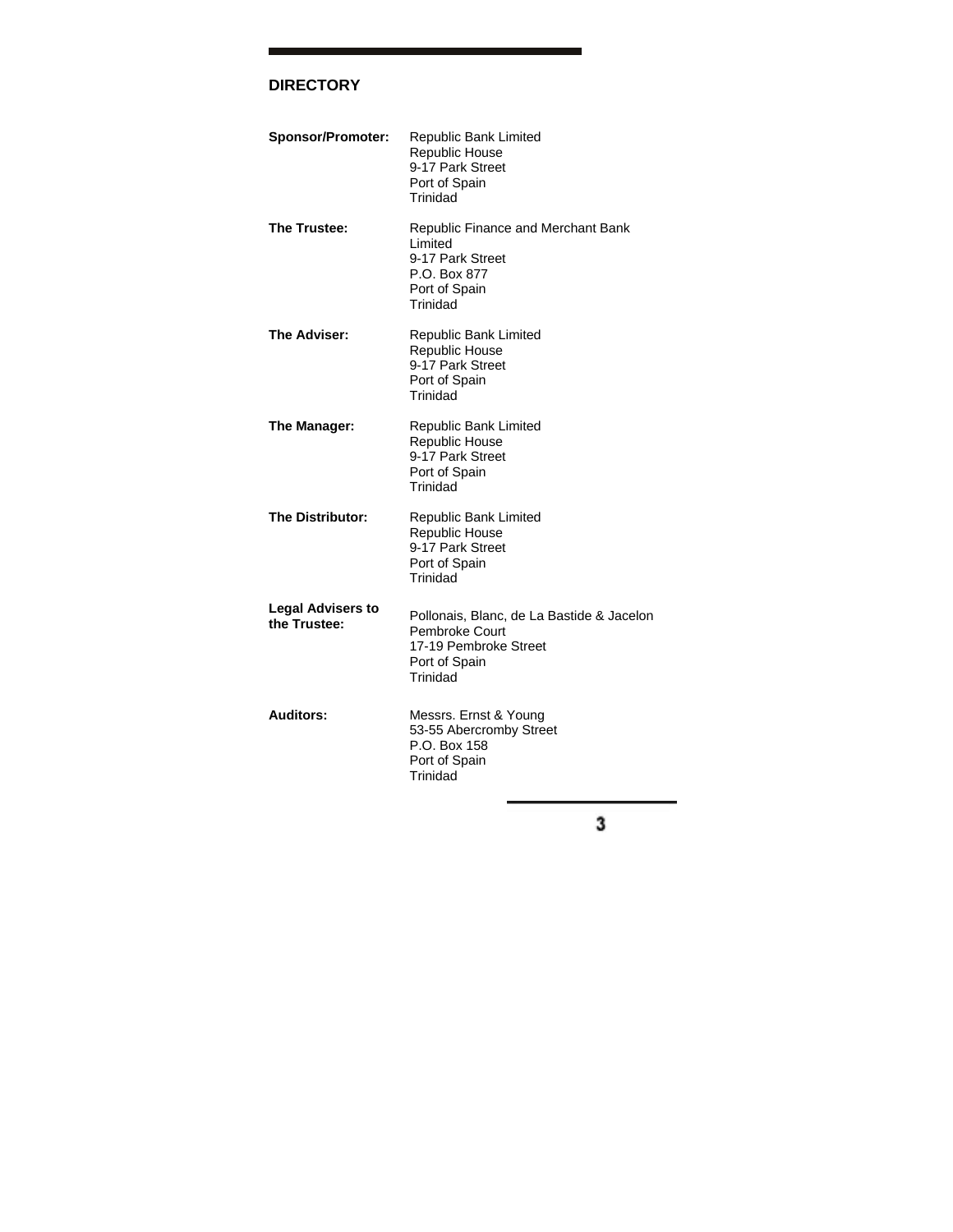# **DIRECTORY**

| Sponsor/Promoter:                        | Republic Bank Limited<br><b>Republic House</b><br>9-17 Park Street<br>Port of Spain<br>Trinidad                   |
|------------------------------------------|-------------------------------------------------------------------------------------------------------------------|
| The Trustee:                             | Republic Finance and Merchant Bank<br>Limited<br>9-17 Park Street<br>P.O. Box 877<br>Port of Spain<br>Trinidad    |
| The Adviser:                             | Republic Bank Limited<br><b>Republic House</b><br>9-17 Park Street<br>Port of Spain<br>Trinidad                   |
| The Manager:                             | Republic Bank Limited<br><b>Republic House</b><br>9-17 Park Street<br>Port of Spain<br>Trinidad                   |
| The Distributor:                         | Republic Bank Limited<br><b>Republic House</b><br>9-17 Park Street<br>Port of Spain<br>Trinidad                   |
| <b>Legal Advisers to</b><br>the Trustee: | Pollonais, Blanc, de La Bastide & Jacelon<br>Pembroke Court<br>17-19 Pembroke Street<br>Port of Spain<br>Trinidad |
| <b>Auditors:</b>                         | Messrs. Ernst & Young<br>53-55 Abercromby Street<br>P.O. Box 158<br>Port of Spain<br>Trinidad                     |

٦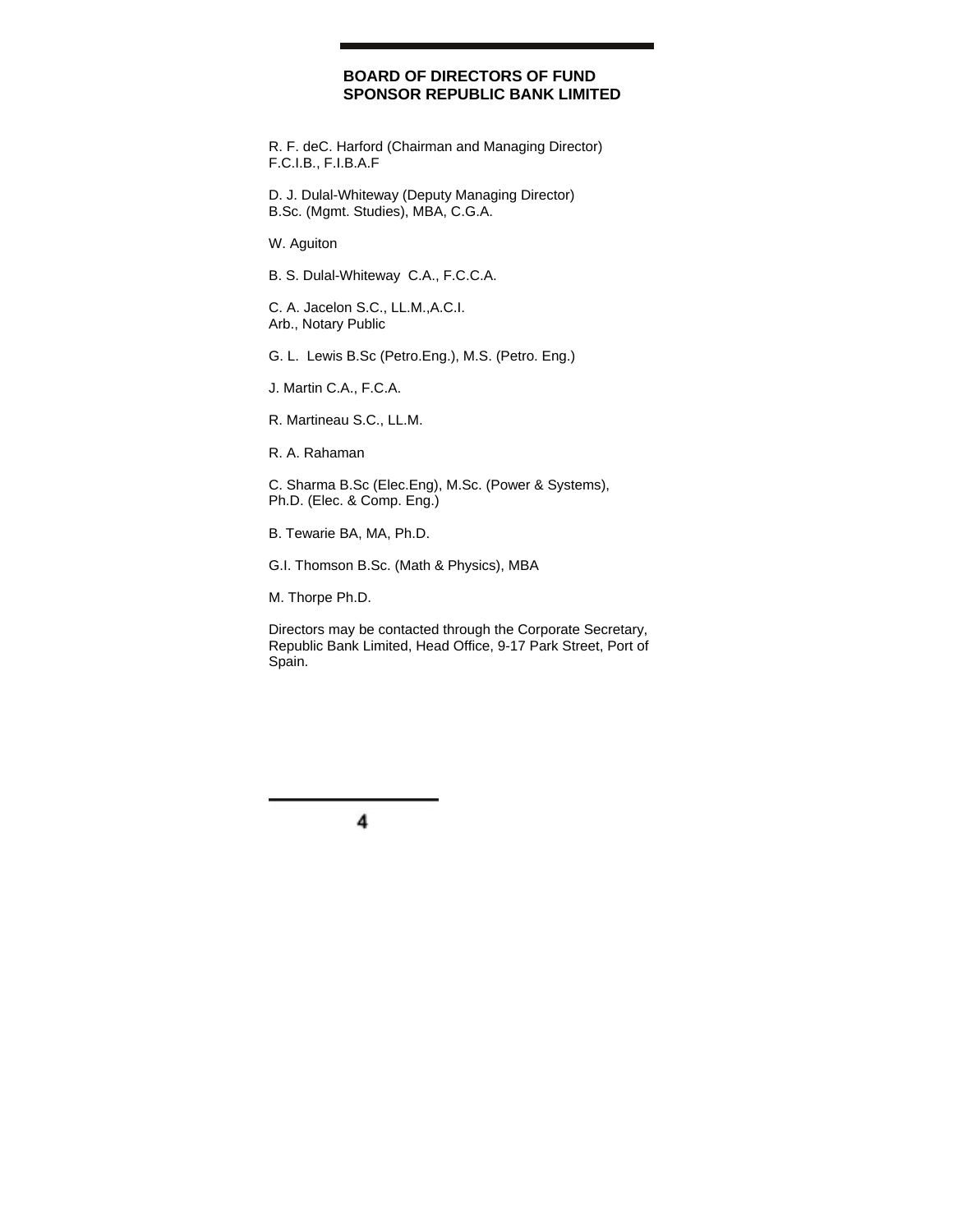## **BOARD OF DIRECTORS OF FUND SPONSOR REPUBLIC BANK LIMITED**

R. F. deC. Harford (Chairman and Managing Director) F.C.I.B., F.I.B.A.F

D. J. Dulal-Whiteway (Deputy Managing Director) B.Sc. (Mgmt. Studies), MBA, C.G.A.

W. Aguiton

B. S. Dulal-Whiteway C.A., F.C.C.A.

C. A. Jacelon S.C., LL.M.,A.C.I. Arb., Notary Public

G. L. Lewis B.Sc (Petro.Eng.), M.S. (Petro. Eng.)

J. Martin C.A., F.C.A.

R. Martineau S.C., LL.M.

R. A. Rahaman

C. Sharma B.Sc (Elec.Eng), M.Sc. (Power & Systems), Ph.D. (Elec. & Comp. Eng.)

B. Tewarie BA, MA, Ph.D.

G.I. Thomson B.Sc. (Math & Physics), MBA

M. Thorpe Ph.D.

Directors may be contacted through the Corporate Secretary, Republic Bank Limited, Head Office, 9-17 Park Street, Port of Spain.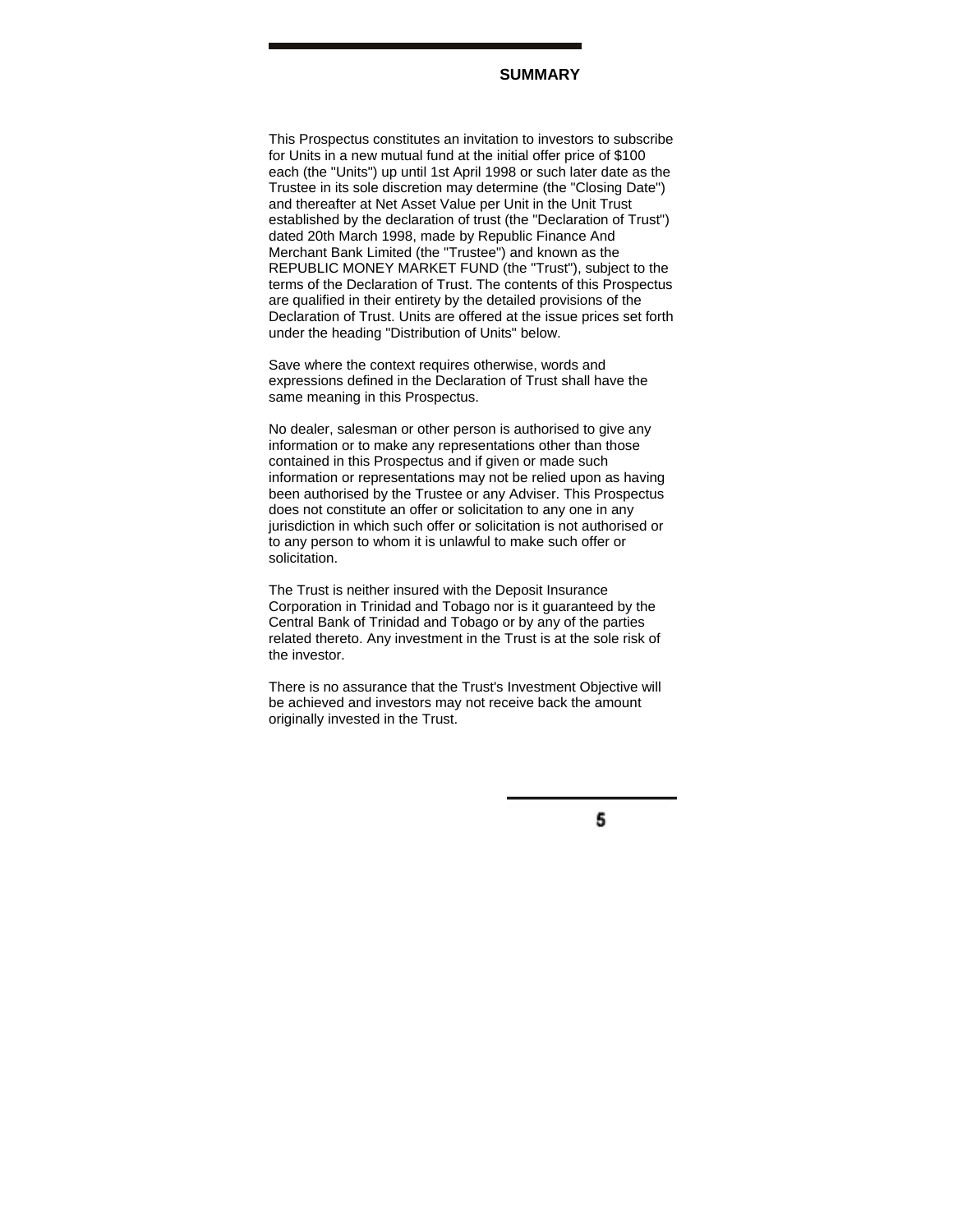## **SUMMARY**

This Prospectus constitutes an invitation to investors to subscribe for Units in a new mutual fund at the initial offer price of \$100 each (the "Units") up until 1st April 1998 or such later date as the Trustee in its sole discretion may determine (the "Closing Date") and thereafter at Net Asset Value per Unit in the Unit Trust established by the declaration of trust (the "Declaration of Trust") dated 20th March 1998, made by Republic Finance And Merchant Bank Limited (the "Trustee") and known as the REPUBLIC MONEY MARKET FUND (the "Trust"), subject to the terms of the Declaration of Trust. The contents of this Prospectus are qualified in their entirety by the detailed provisions of the Declaration of Trust. Units are offered at the issue prices set forth under the heading "Distribution of Units" below.

Save where the context requires otherwise, words and expressions defined in the Declaration of Trust shall have the same meaning in this Prospectus.

No dealer, salesman or other person is authorised to give any information or to make any representations other than those contained in this Prospectus and if given or made such information or representations may not be relied upon as having been authorised by the Trustee or any Adviser. This Prospectus does not constitute an offer or solicitation to any one in any jurisdiction in which such offer or solicitation is not authorised or to any person to whom it is unlawful to make such offer or solicitation.

The Trust is neither insured with the Deposit Insurance Corporation in Trinidad and Tobago nor is it guaranteed by the Central Bank of Trinidad and Tobago or by any of the parties related thereto. Any investment in the Trust is at the sole risk of the investor.

There is no assurance that the Trust's Investment Objective will be achieved and investors may not receive back the amount originally invested in the Trust.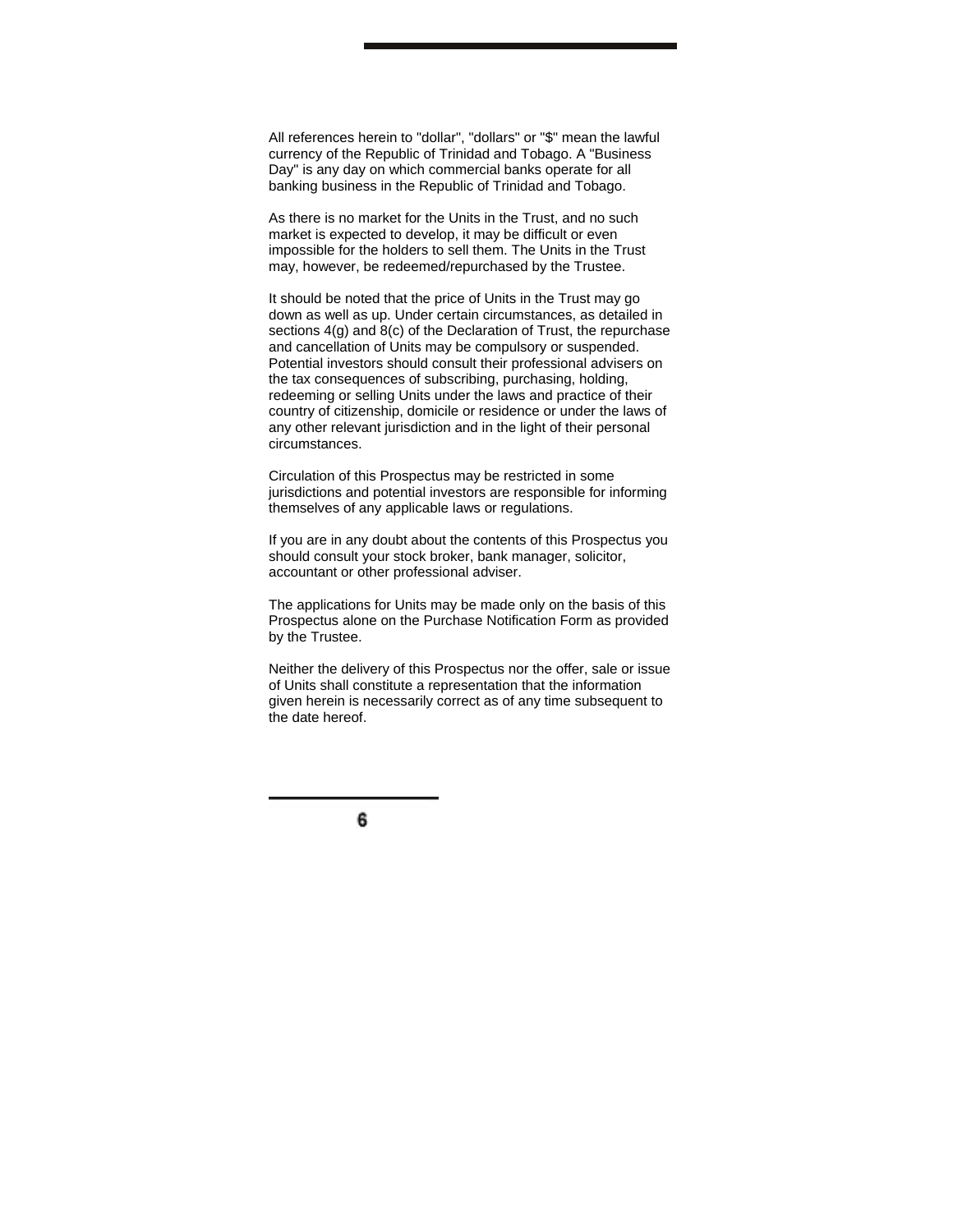All references herein to "dollar", "dollars" or "\$" mean the lawful currency of the Republic of Trinidad and Tobago. A "Business Day" is any day on which commercial banks operate for all banking business in the Republic of Trinidad and Tobago.

As there is no market for the Units in the Trust, and no such market is expected to develop, it may be difficult or even impossible for the holders to sell them. The Units in the Trust may, however, be redeemed/repurchased by the Trustee.

It should be noted that the price of Units in the Trust may go down as well as up. Under certain circumstances, as detailed in sections 4(g) and 8(c) of the Declaration of Trust, the repurchase and cancellation of Units may be compulsory or suspended. Potential investors should consult their professional advisers on the tax consequences of subscribing, purchasing, holding, redeeming or selling Units under the laws and practice of their country of citizenship, domicile or residence or under the laws of any other relevant jurisdiction and in the light of their personal circumstances.

Circulation of this Prospectus may be restricted in some jurisdictions and potential investors are responsible for informing themselves of any applicable laws or regulations.

If you are in any doubt about the contents of this Prospectus you should consult your stock broker, bank manager, solicitor, accountant or other professional adviser.

The applications for Units may be made only on the basis of this Prospectus alone on the Purchase Notification Form as provided by the Trustee.

Neither the delivery of this Prospectus nor the offer, sale or issue of Units shall constitute a representation that the information given herein is necessarily correct as of any time subsequent to the date hereof.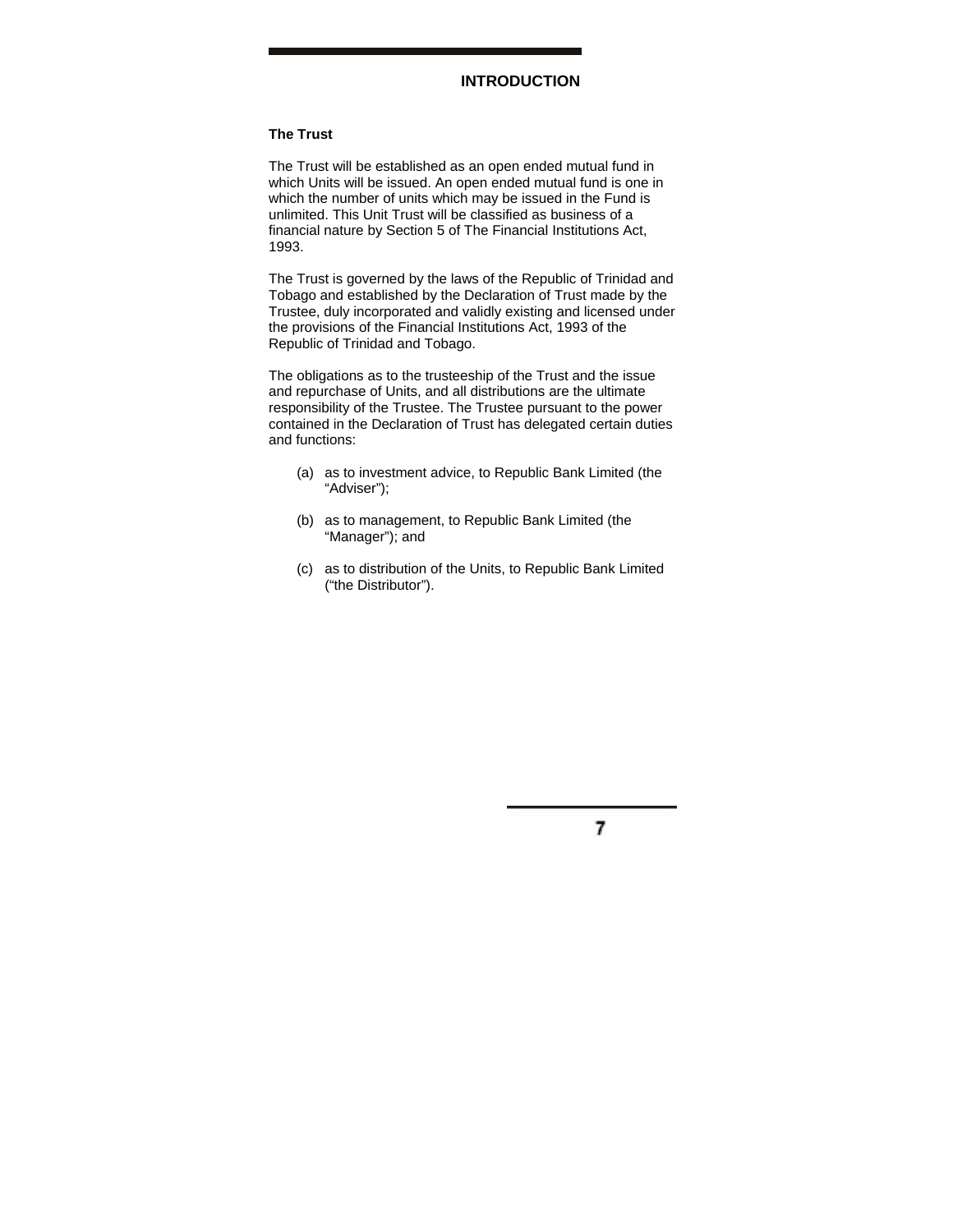## **INTRODUCTION**

## **The Trust**

The Trust will be established as an open ended mutual fund in which Units will be issued. An open ended mutual fund is one in which the number of units which may be issued in the Fund is unlimited. This Unit Trust will be classified as business of a financial nature by Section 5 of The Financial Institutions Act, 1993.

The Trust is governed by the laws of the Republic of Trinidad and Tobago and established by the Declaration of Trust made by the Trustee, duly incorporated and validly existing and licensed under the provisions of the Financial Institutions Act, 1993 of the Republic of Trinidad and Tobago.

The obligations as to the trusteeship of the Trust and the issue and repurchase of Units, and all distributions are the ultimate responsibility of the Trustee. The Trustee pursuant to the power contained in the Declaration of Trust has delegated certain duties and functions:

- (a) as to investment advice, to Republic Bank Limited (the "Adviser");
- (b) as to management, to Republic Bank Limited (the "Manager"); and
- (c) as to distribution of the Units, to Republic Bank Limited ("the Distributor").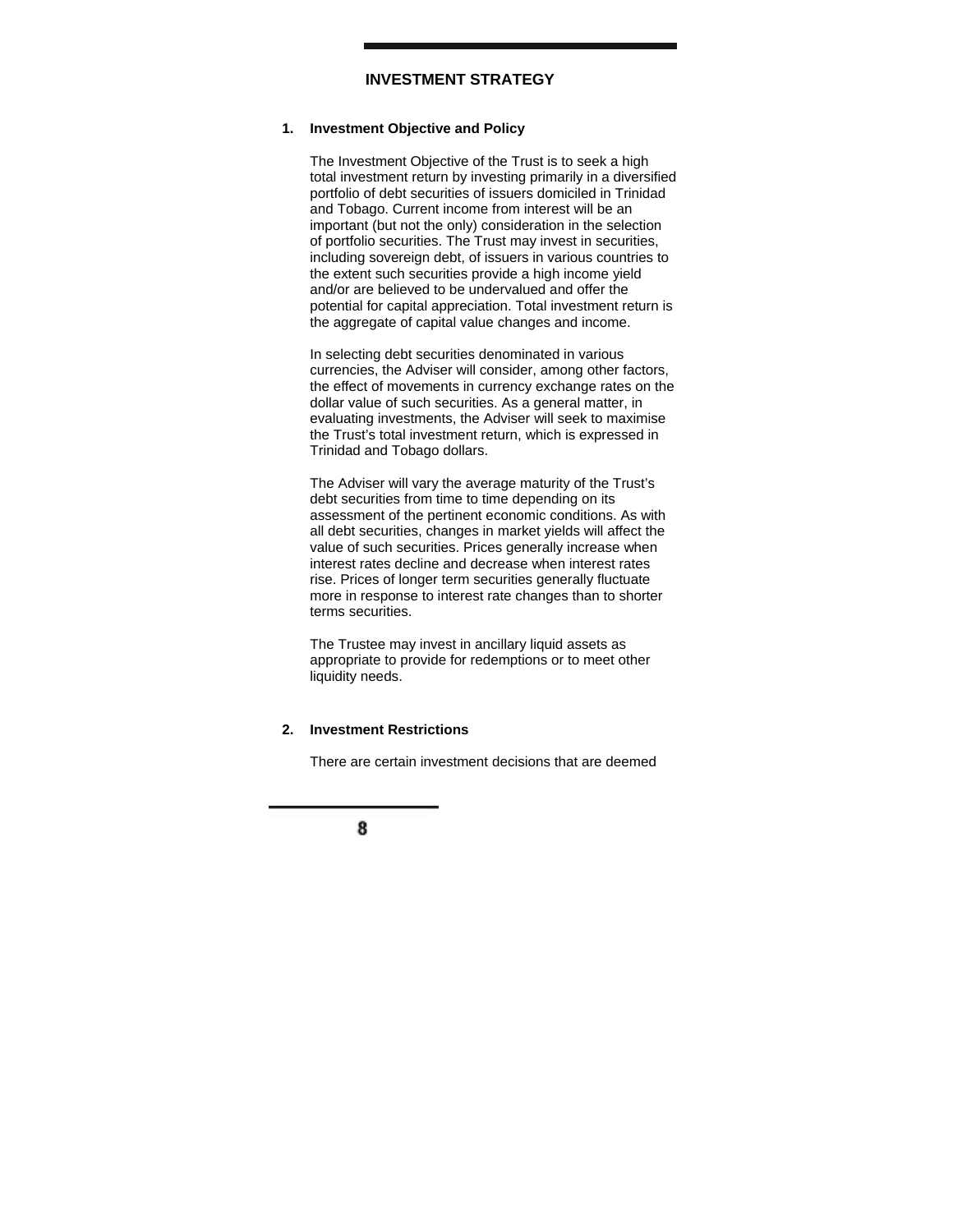# **INVESTMENT STRATEGY**

#### **1. Investment Objective and Policy**

The Investment Objective of the Trust is to seek a high total investment return by investing primarily in a diversified portfolio of debt securities of issuers domiciled in Trinidad and Tobago. Current income from interest will be an important (but not the only) consideration in the selection of portfolio securities. The Trust may invest in securities, including sovereign debt, of issuers in various countries to the extent such securities provide a high income yield and/or are believed to be undervalued and offer the potential for capital appreciation. Total investment return is the aggregate of capital value changes and income.

In selecting debt securities denominated in various currencies, the Adviser will consider, among other factors, the effect of movements in currency exchange rates on the dollar value of such securities. As a general matter, in evaluating investments, the Adviser will seek to maximise the Trust's total investment return, which is expressed in Trinidad and Tobago dollars.

The Adviser will vary the average maturity of the Trust's debt securities from time to time depending on its assessment of the pertinent economic conditions. As with all debt securities, changes in market yields will affect the value of such securities. Prices generally increase when interest rates decline and decrease when interest rates rise. Prices of longer term securities generally fluctuate more in response to interest rate changes than to shorter terms securities.

The Trustee may invest in ancillary liquid assets as appropriate to provide for redemptions or to meet other liquidity needs.

#### **2. Investment Restrictions**

There are certain investment decisions that are deemed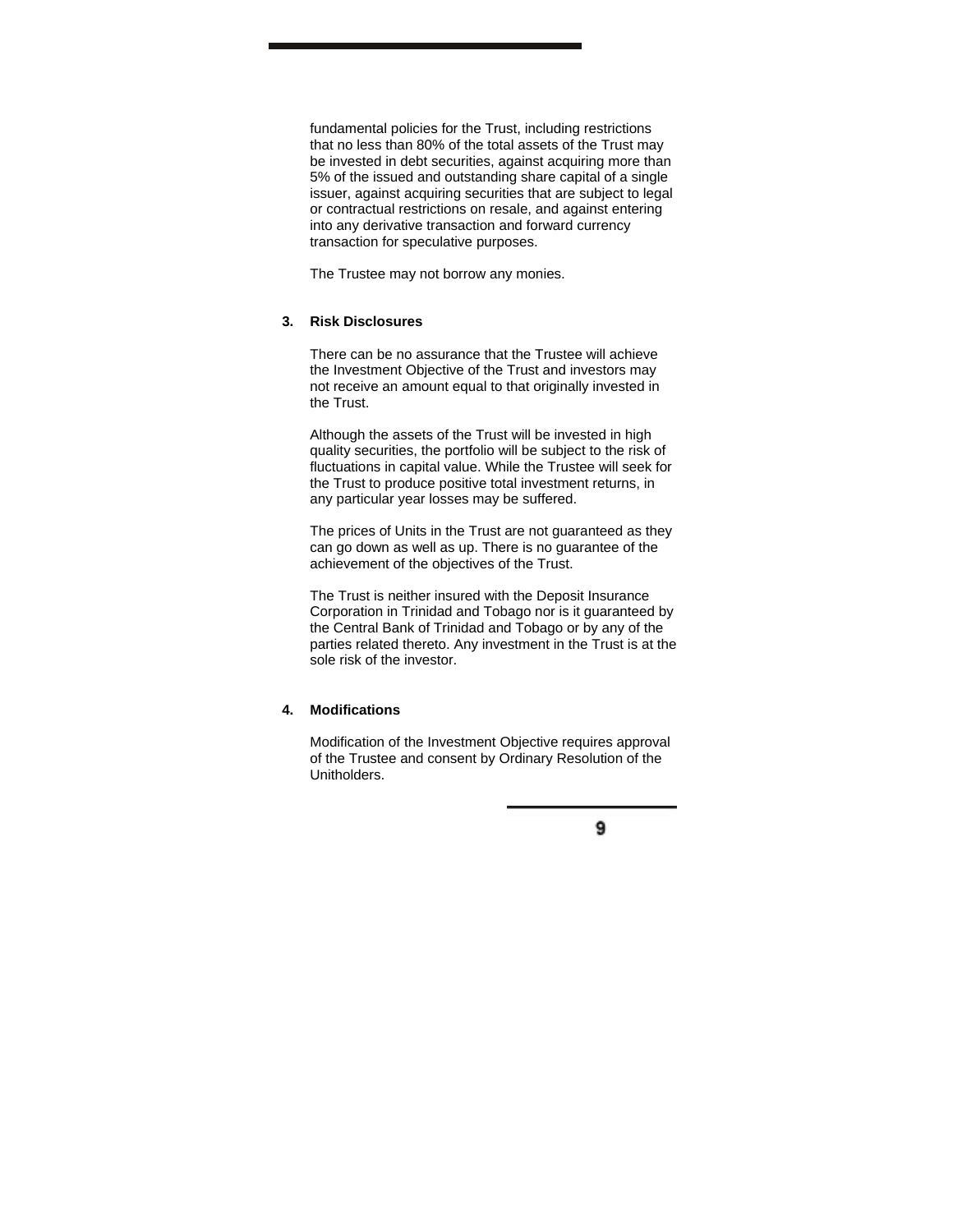fundamental policies for the Trust, including restrictions that no less than 80% of the total assets of the Trust may be invested in debt securities, against acquiring more than 5% of the issued and outstanding share capital of a single issuer, against acquiring securities that are subject to legal or contractual restrictions on resale, and against entering into any derivative transaction and forward currency transaction for speculative purposes.

The Trustee may not borrow any monies.

#### **3. Risk Disclosures**

There can be no assurance that the Trustee will achieve the Investment Objective of the Trust and investors may not receive an amount equal to that originally invested in the Trust.

Although the assets of the Trust will be invested in high quality securities, the portfolio will be subject to the risk of fluctuations in capital value. While the Trustee will seek for the Trust to produce positive total investment returns, in any particular year losses may be suffered.

The prices of Units in the Trust are not guaranteed as they can go down as well as up. There is no guarantee of the achievement of the objectives of the Trust.

The Trust is neither insured with the Deposit Insurance Corporation in Trinidad and Tobago nor is it guaranteed by the Central Bank of Trinidad and Tobago or by any of the parties related thereto. Any investment in the Trust is at the sole risk of the investor.

#### **4. Modifications**

Modification of the Investment Objective requires approval of the Trustee and consent by Ordinary Resolution of the Unitholders.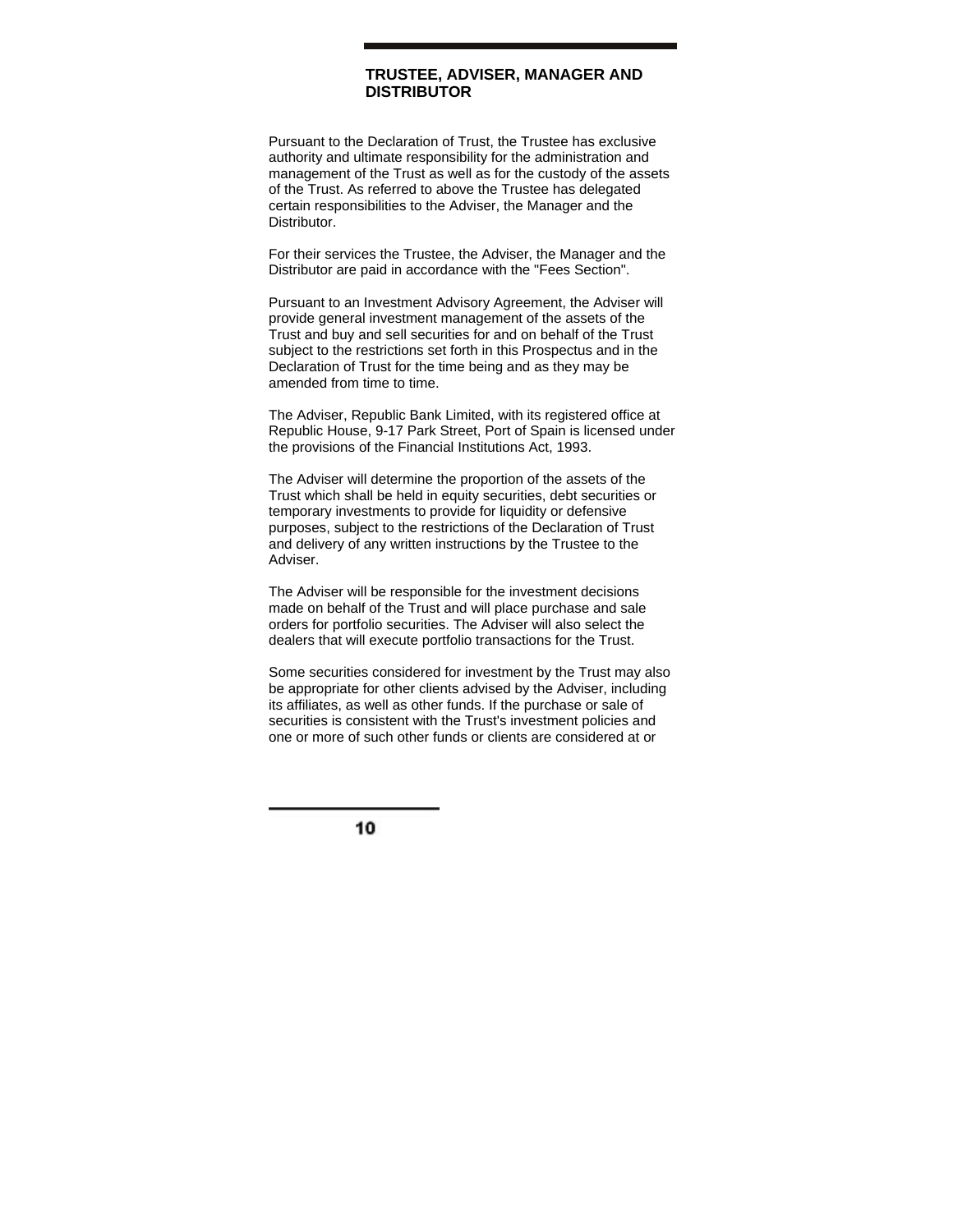# **TRUSTEE, ADVISER, MANAGER AND DISTRIBUTOR**

Pursuant to the Declaration of Trust, the Trustee has exclusive authority and ultimate responsibility for the administration and management of the Trust as well as for the custody of the assets of the Trust. As referred to above the Trustee has delegated certain responsibilities to the Adviser, the Manager and the **Distributor** 

For their services the Trustee, the Adviser, the Manager and the Distributor are paid in accordance with the "Fees Section".

Pursuant to an Investment Advisory Agreement, the Adviser will provide general investment management of the assets of the Trust and buy and sell securities for and on behalf of the Trust subject to the restrictions set forth in this Prospectus and in the Declaration of Trust for the time being and as they may be amended from time to time.

The Adviser, Republic Bank Limited, with its registered office at Republic House, 9-17 Park Street, Port of Spain is licensed under the provisions of the Financial Institutions Act, 1993.

The Adviser will determine the proportion of the assets of the Trust which shall be held in equity securities, debt securities or temporary investments to provide for liquidity or defensive purposes, subject to the restrictions of the Declaration of Trust and delivery of any written instructions by the Trustee to the Adviser.

The Adviser will be responsible for the investment decisions made on behalf of the Trust and will place purchase and sale orders for portfolio securities. The Adviser will also select the dealers that will execute portfolio transactions for the Trust.

Some securities considered for investment by the Trust may also be appropriate for other clients advised by the Adviser, including its affiliates, as well as other funds. If the purchase or sale of securities is consistent with the Trust's investment policies and one or more of such other funds or clients are considered at or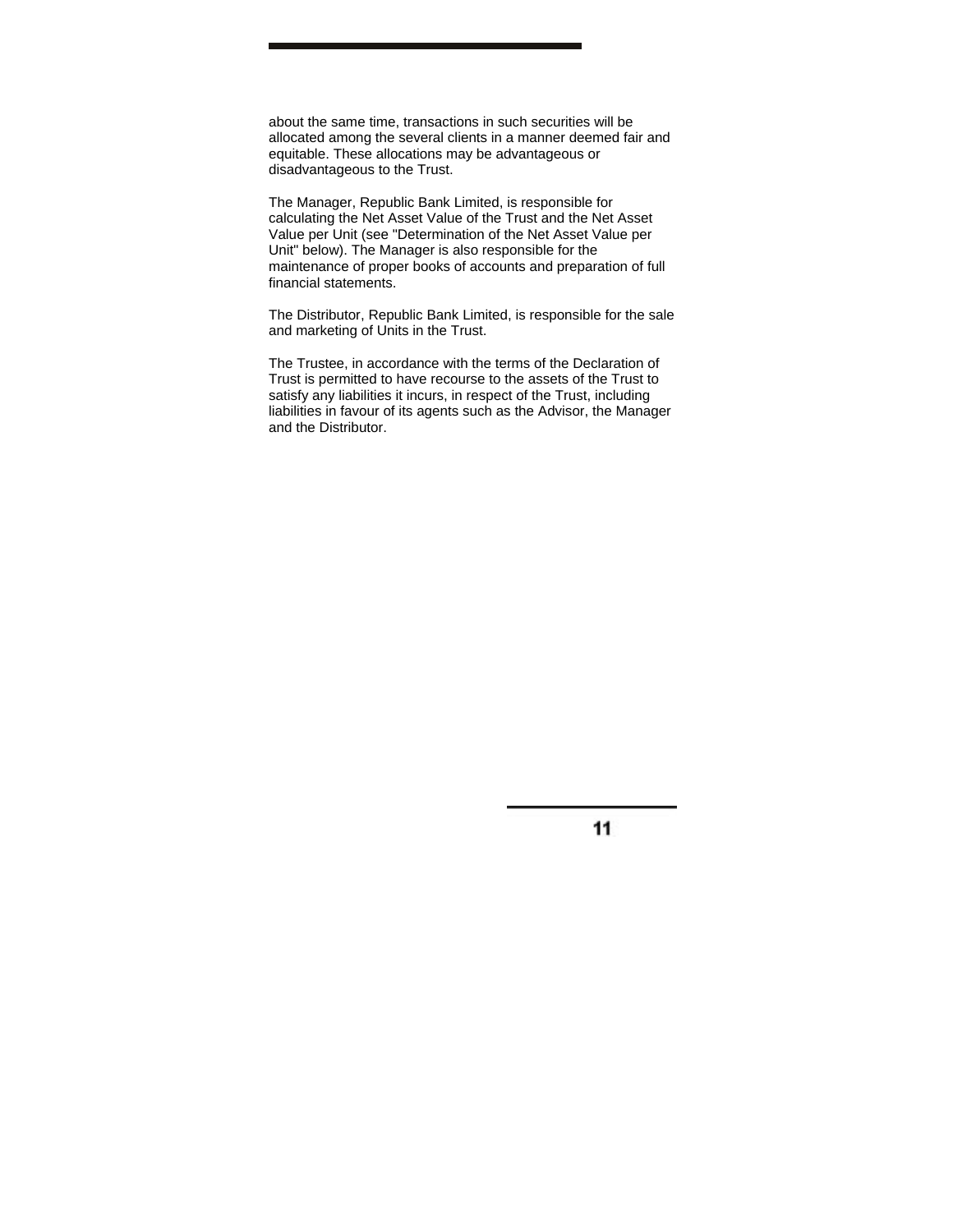about the same time, transactions in such securities will be allocated among the several clients in a manner deemed fair and equitable. These allocations may be advantageous or disadvantageous to the Trust.

The Manager, Republic Bank Limited, is responsible for calculating the Net Asset Value of the Trust and the Net Asset Value per Unit (see "Determination of the Net Asset Value per Unit" below). The Manager is also responsible for the maintenance of proper books of accounts and preparation of full financial statements.

The Distributor, Republic Bank Limited, is responsible for the sale and marketing of Units in the Trust.

The Trustee, in accordance with the terms of the Declaration of Trust is permitted to have recourse to the assets of the Trust to satisfy any liabilities it incurs, in respect of the Trust, including liabilities in favour of its agents such as the Advisor, the Manager and the Distributor.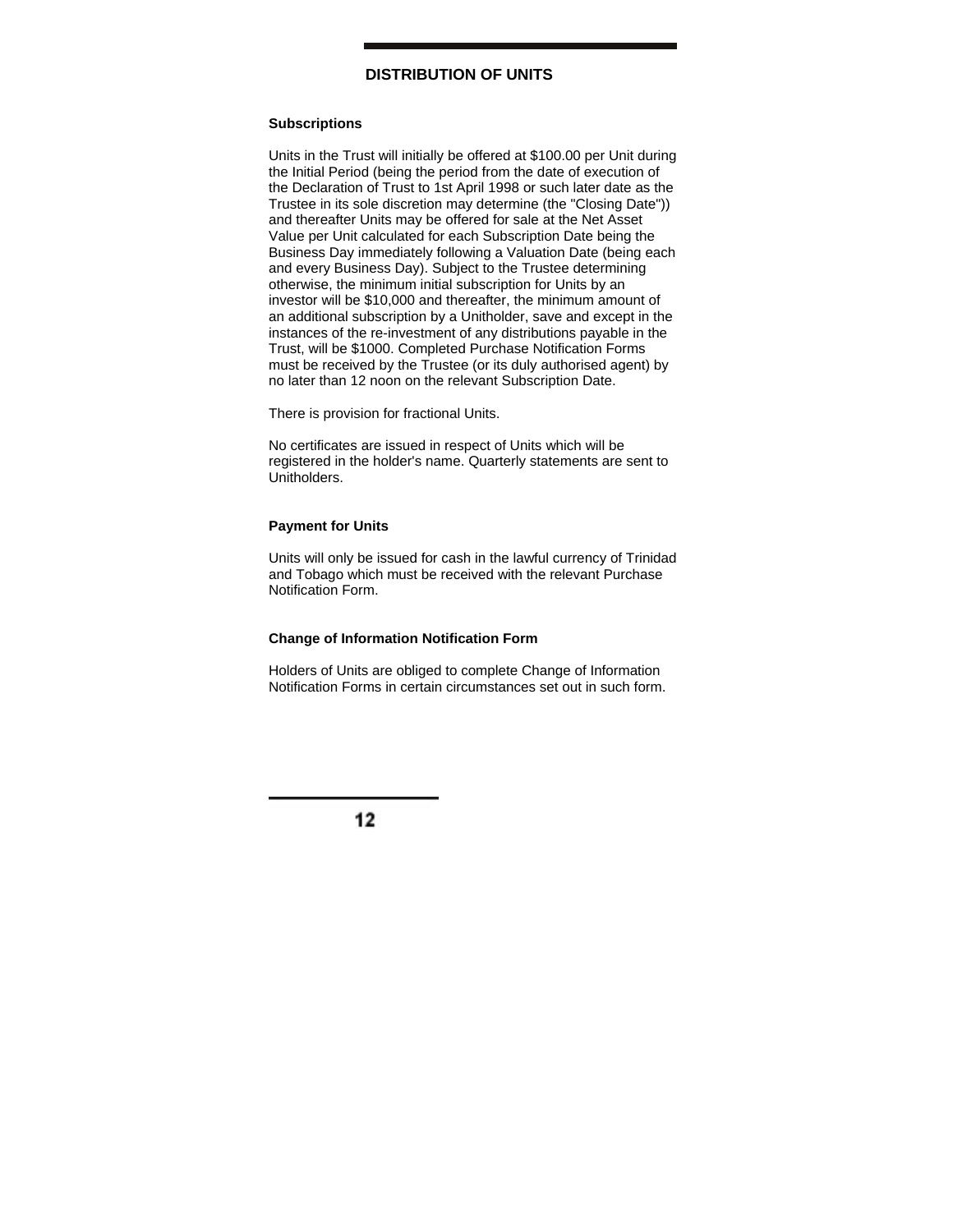# **DISTRIBUTION OF UNITS**

# **Subscriptions**

Units in the Trust will initially be offered at \$100.00 per Unit during the Initial Period (being the period from the date of execution of the Declaration of Trust to 1st April 1998 or such later date as the Trustee in its sole discretion may determine (the "Closing Date")) and thereafter Units may be offered for sale at the Net Asset Value per Unit calculated for each Subscription Date being the Business Day immediately following a Valuation Date (being each and every Business Day). Subject to the Trustee determining otherwise, the minimum initial subscription for Units by an investor will be \$10,000 and thereafter, the minimum amount of an additional subscription by a Unitholder, save and except in the instances of the re-investment of any distributions payable in the Trust, will be \$1000. Completed Purchase Notification Forms must be received by the Trustee (or its duly authorised agent) by no later than 12 noon on the relevant Subscription Date.

There is provision for fractional Units.

No certificates are issued in respect of Units which will be registered in the holder's name. Quarterly statements are sent to **Unitholders** 

### **Payment for Units**

Units will only be issued for cash in the lawful currency of Trinidad and Tobago which must be received with the relevant Purchase Notification Form.

## **Change of Information Notification Form**

Holders of Units are obliged to complete Change of Information Notification Forms in certain circumstances set out in such form.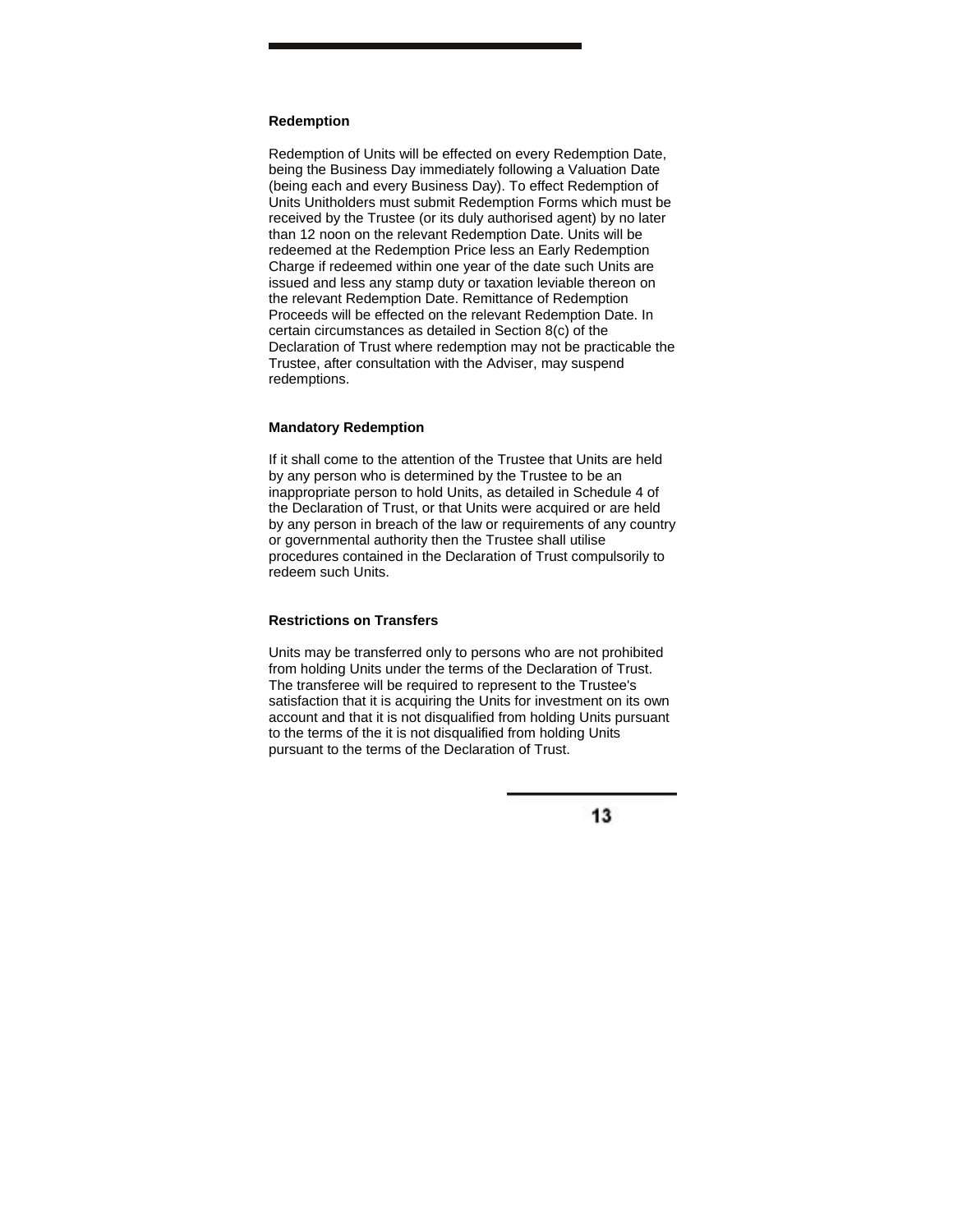## **Redemption**

Redemption of Units will be effected on every Redemption Date, being the Business Day immediately following a Valuation Date (being each and every Business Day). To effect Redemption of Units Unitholders must submit Redemption Forms which must be received by the Trustee (or its duly authorised agent) by no later than 12 noon on the relevant Redemption Date. Units will be redeemed at the Redemption Price less an Early Redemption Charge if redeemed within one year of the date such Units are issued and less any stamp duty or taxation leviable thereon on the relevant Redemption Date. Remittance of Redemption Proceeds will be effected on the relevant Redemption Date. In certain circumstances as detailed in Section 8(c) of the Declaration of Trust where redemption may not be practicable the Trustee, after consultation with the Adviser, may suspend redemptions.

#### **Mandatory Redemption**

If it shall come to the attention of the Trustee that Units are held by any person who is determined by the Trustee to be an inappropriate person to hold Units, as detailed in Schedule 4 of the Declaration of Trust, or that Units were acquired or are held by any person in breach of the law or requirements of any country or governmental authority then the Trustee shall utilise procedures contained in the Declaration of Trust compulsorily to redeem such Units.

### **Restrictions on Transfers**

Units may be transferred only to persons who are not prohibited from holding Units under the terms of the Declaration of Trust. The transferee will be required to represent to the Trustee's satisfaction that it is acquiring the Units for investment on its own account and that it is not disqualified from holding Units pursuant to the terms of the it is not disqualified from holding Units pursuant to the terms of the Declaration of Trust.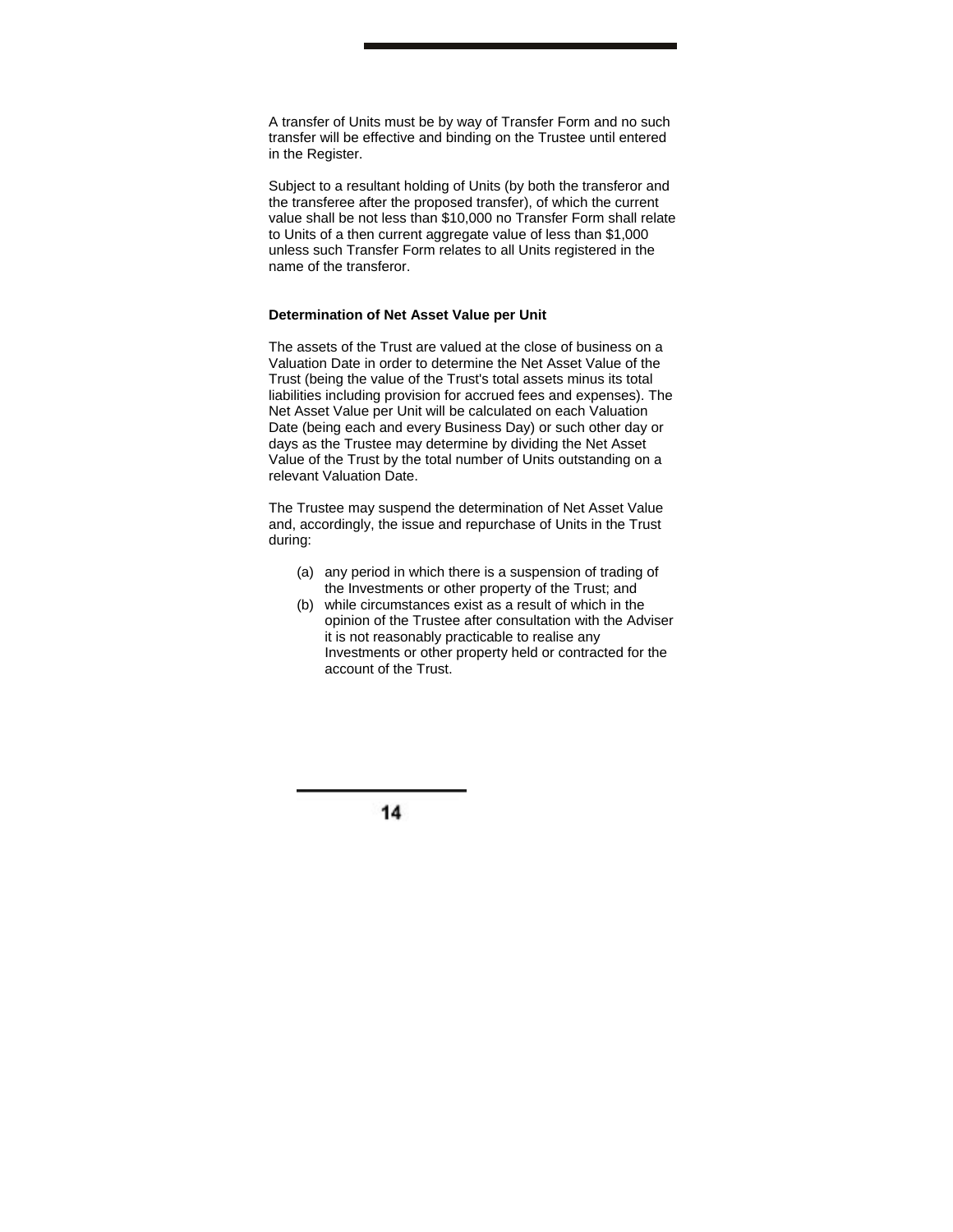A transfer of Units must be by way of Transfer Form and no such transfer will be effective and binding on the Trustee until entered in the Register.

Subject to a resultant holding of Units (by both the transferor and the transferee after the proposed transfer), of which the current value shall be not less than \$10,000 no Transfer Form shall relate to Units of a then current aggregate value of less than \$1,000 unless such Transfer Form relates to all Units registered in the name of the transferor.

## **Determination of Net Asset Value per Unit**

The assets of the Trust are valued at the close of business on a Valuation Date in order to determine the Net Asset Value of the Trust (being the value of the Trust's total assets minus its total liabilities including provision for accrued fees and expenses). The Net Asset Value per Unit will be calculated on each Valuation Date (being each and every Business Day) or such other day or days as the Trustee may determine by dividing the Net Asset Value of the Trust by the total number of Units outstanding on a relevant Valuation Date.

The Trustee may suspend the determination of Net Asset Value and, accordingly, the issue and repurchase of Units in the Trust during:

- (a) any period in which there is a suspension of trading of the Investments or other property of the Trust; and
- (b) while circumstances exist as a result of which in the opinion of the Trustee after consultation with the Adviser it is not reasonably practicable to realise any Investments or other property held or contracted for the account of the Trust.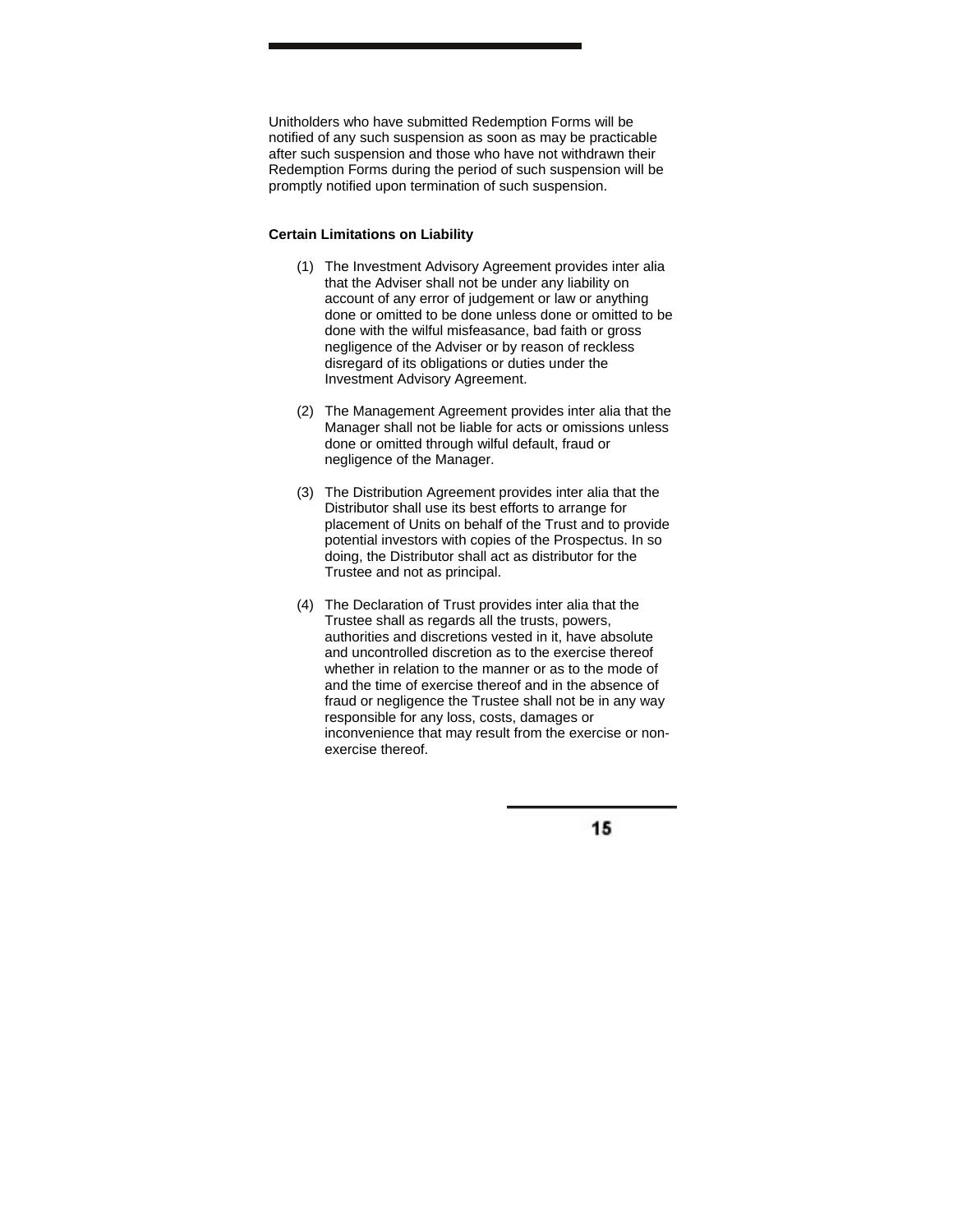Unitholders who have submitted Redemption Forms will be notified of any such suspension as soon as may be practicable after such suspension and those who have not withdrawn their Redemption Forms during the period of such suspension will be promptly notified upon termination of such suspension.

### **Certain Limitations on Liability**

- (1) The Investment Advisory Agreement provides inter alia that the Adviser shall not be under any liability on account of any error of judgement or law or anything done or omitted to be done unless done or omitted to be done with the wilful misfeasance, bad faith or gross negligence of the Adviser or by reason of reckless disregard of its obligations or duties under the Investment Advisory Agreement.
- (2) The Management Agreement provides inter alia that the Manager shall not be liable for acts or omissions unless done or omitted through wilful default, fraud or negligence of the Manager.
- (3) The Distribution Agreement provides inter alia that the Distributor shall use its best efforts to arrange for placement of Units on behalf of the Trust and to provide potential investors with copies of the Prospectus. In so doing, the Distributor shall act as distributor for the Trustee and not as principal.
- (4) The Declaration of Trust provides inter alia that the Trustee shall as regards all the trusts, powers, authorities and discretions vested in it, have absolute and uncontrolled discretion as to the exercise thereof whether in relation to the manner or as to the mode of and the time of exercise thereof and in the absence of fraud or negligence the Trustee shall not be in any way responsible for any loss, costs, damages or inconvenience that may result from the exercise or nonexercise thereof.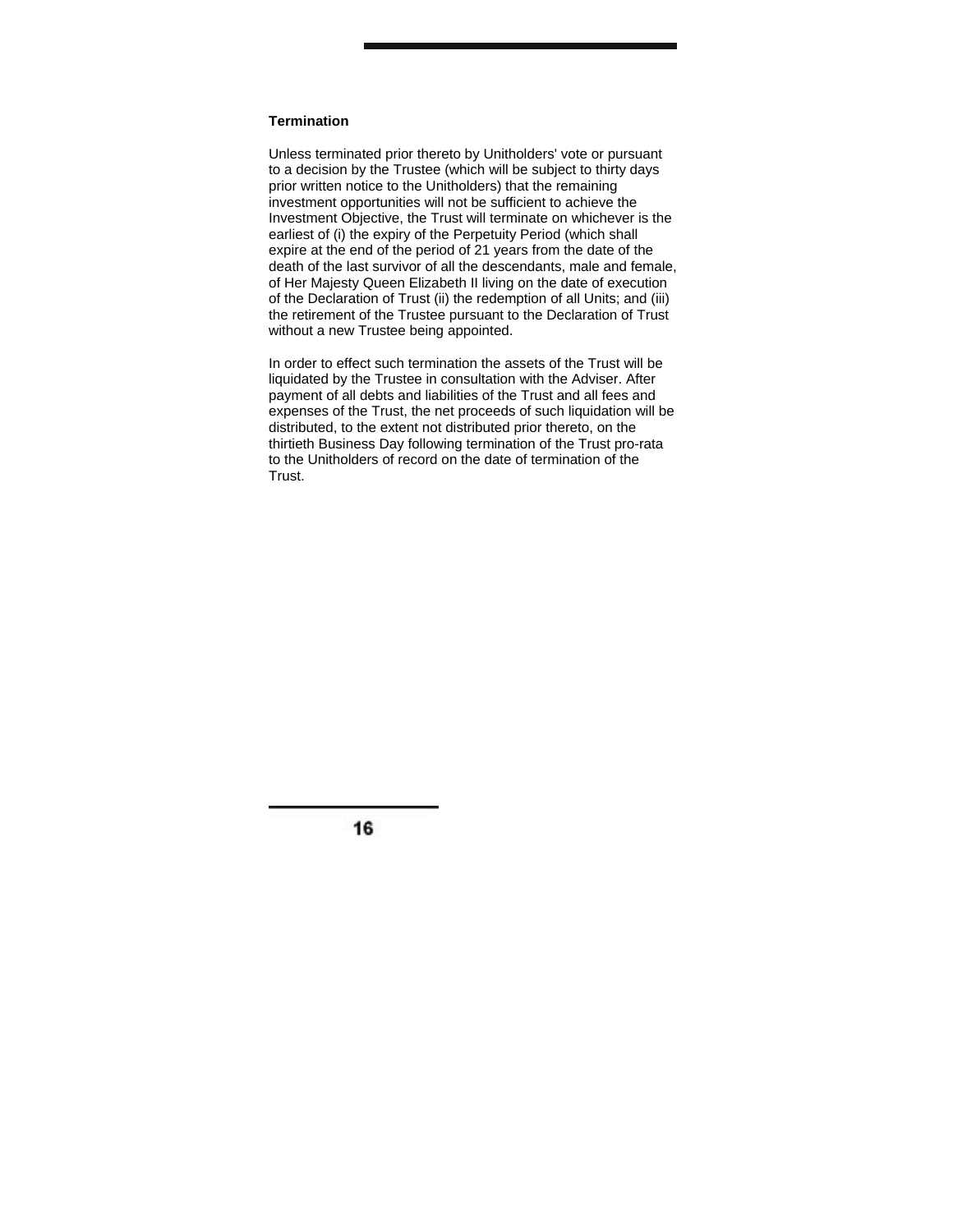### **Termination**

Unless terminated prior thereto by Unitholders' vote or pursuant to a decision by the Trustee (which will be subject to thirty days prior written notice to the Unitholders) that the remaining investment opportunities will not be sufficient to achieve the Investment Objective, the Trust will terminate on whichever is the earliest of (i) the expiry of the Perpetuity Period (which shall expire at the end of the period of 21 years from the date of the death of the last survivor of all the descendants, male and female, of Her Majesty Queen Elizabeth II living on the date of execution of the Declaration of Trust (ii) the redemption of all Units; and (iii) the retirement of the Trustee pursuant to the Declaration of Trust without a new Trustee being appointed.

In order to effect such termination the assets of the Trust will be liquidated by the Trustee in consultation with the Adviser. After payment of all debts and liabilities of the Trust and all fees and expenses of the Trust, the net proceeds of such liquidation will be distributed, to the extent not distributed prior thereto, on the thirtieth Business Day following termination of the Trust pro-rata to the Unitholders of record on the date of termination of the Trust.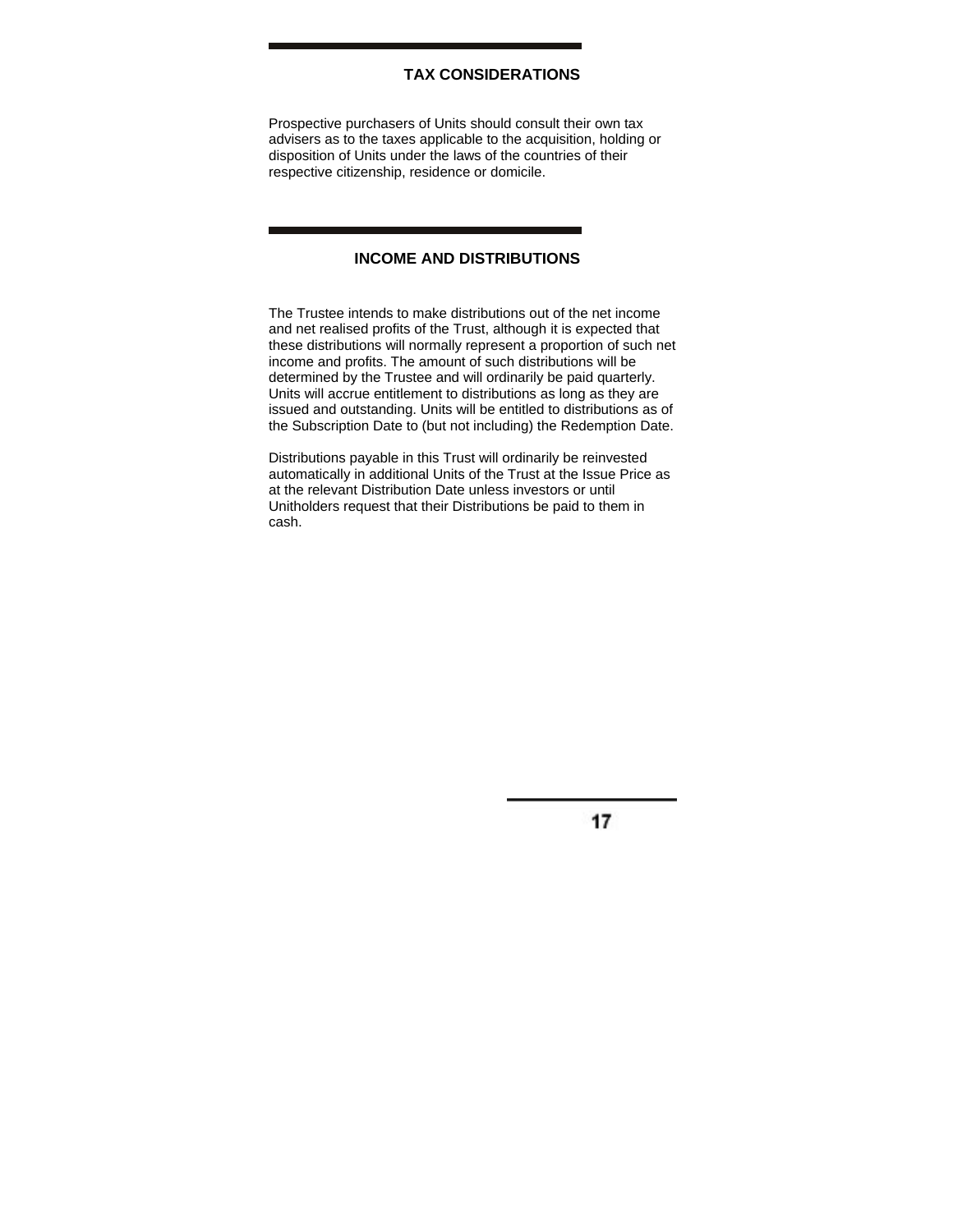# **TAX CONSIDERATIONS**

Prospective purchasers of Units should consult their own tax advisers as to the taxes applicable to the acquisition, holding or disposition of Units under the laws of the countries of their respective citizenship, residence or domicile.

# **INCOME AND DISTRIBUTIONS**

The Trustee intends to make distributions out of the net income and net realised profits of the Trust, although it is expected that these distributions will normally represent a proportion of such net income and profits. The amount of such distributions will be determined by the Trustee and will ordinarily be paid quarterly. Units will accrue entitlement to distributions as long as they are issued and outstanding. Units will be entitled to distributions as of the Subscription Date to (but not including) the Redemption Date.

Distributions payable in this Trust will ordinarily be reinvested automatically in additional Units of the Trust at the Issue Price as at the relevant Distribution Date unless investors or until Unitholders request that their Distributions be paid to them in cash.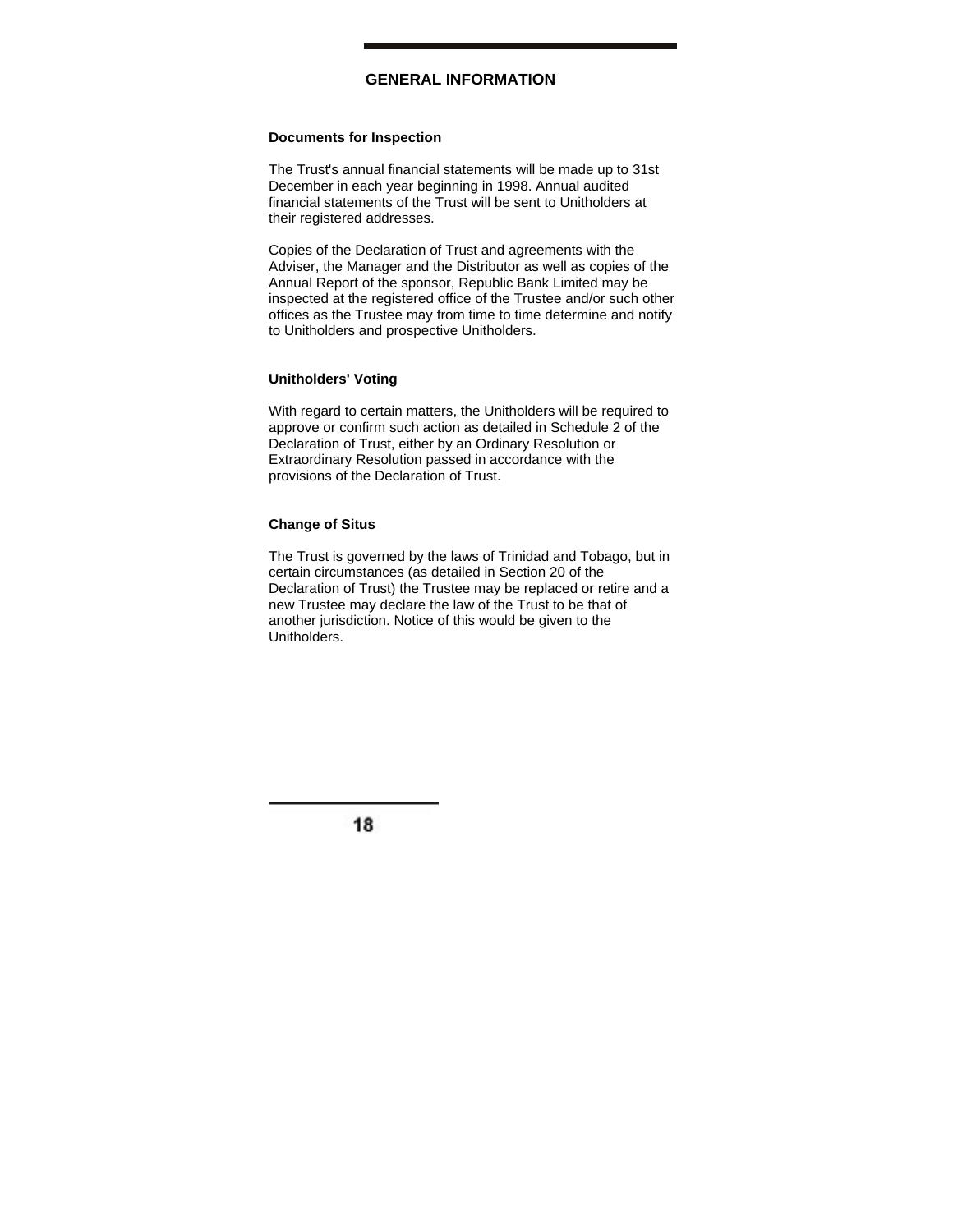# **GENERAL INFORMATION**

### **Documents for Inspection**

The Trust's annual financial statements will be made up to 31st December in each year beginning in 1998. Annual audited financial statements of the Trust will be sent to Unitholders at their registered addresses.

Copies of the Declaration of Trust and agreements with the Adviser, the Manager and the Distributor as well as copies of the Annual Report of the sponsor, Republic Bank Limited may be inspected at the registered office of the Trustee and/or such other offices as the Trustee may from time to time determine and notify to Unitholders and prospective Unitholders.

## **Unitholders' Voting**

With regard to certain matters, the Unitholders will be required to approve or confirm such action as detailed in Schedule 2 of the Declaration of Trust, either by an Ordinary Resolution or Extraordinary Resolution passed in accordance with the provisions of the Declaration of Trust.

### **Change of Situs**

The Trust is governed by the laws of Trinidad and Tobago, but in certain circumstances (as detailed in Section 20 of the Declaration of Trust) the Trustee may be replaced or retire and a new Trustee may declare the law of the Trust to be that of another jurisdiction. Notice of this would be given to the Unitholders.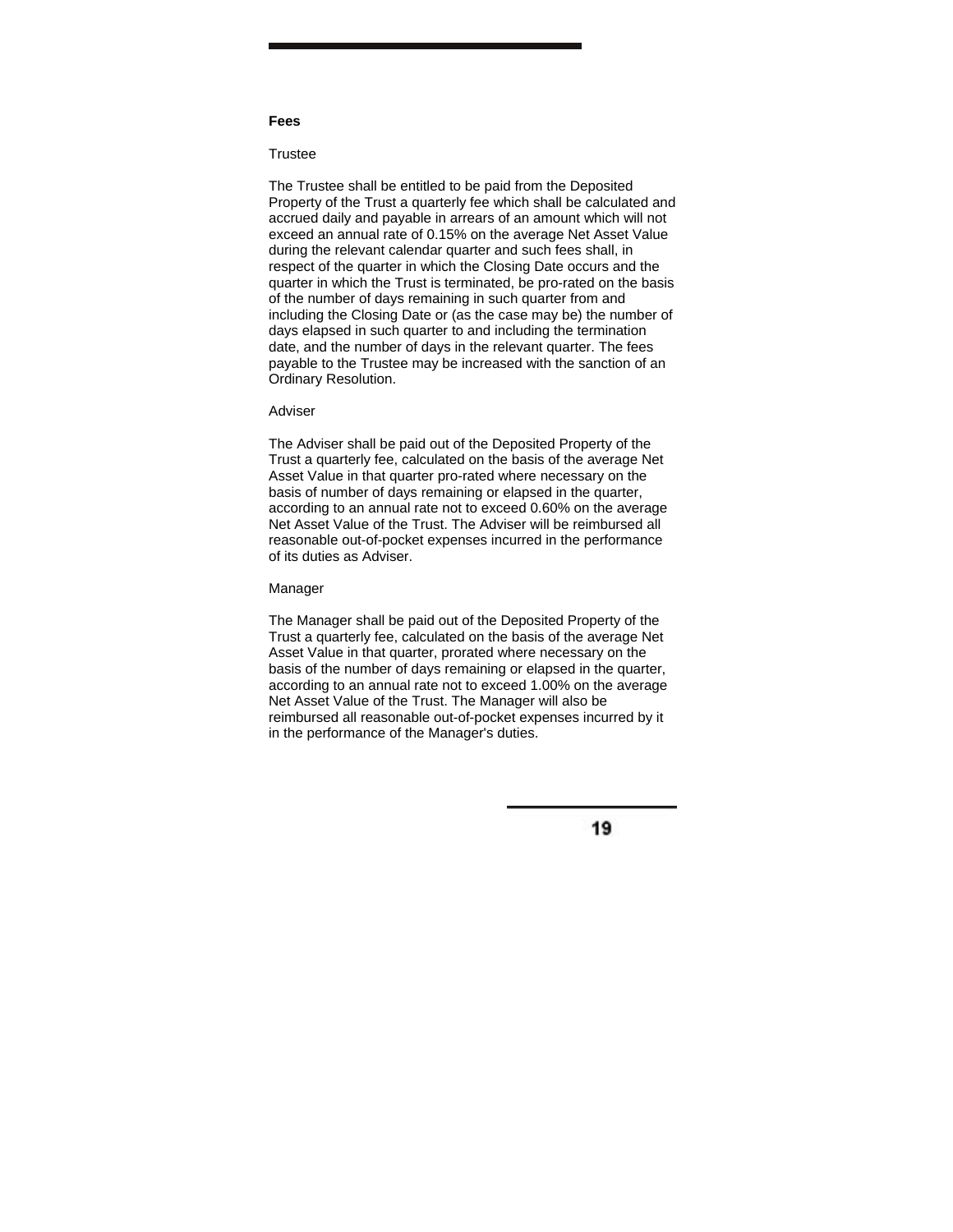#### **Fees**

### **Trustee**

The Trustee shall be entitled to be paid from the Deposited Property of the Trust a quarterly fee which shall be calculated and accrued daily and payable in arrears of an amount which will not exceed an annual rate of 0.15% on the average Net Asset Value during the relevant calendar quarter and such fees shall, in respect of the quarter in which the Closing Date occurs and the quarter in which the Trust is terminated, be pro-rated on the basis of the number of days remaining in such quarter from and including the Closing Date or (as the case may be) the number of days elapsed in such quarter to and including the termination date, and the number of days in the relevant quarter. The fees payable to the Trustee may be increased with the sanction of an Ordinary Resolution.

#### Adviser

The Adviser shall be paid out of the Deposited Property of the Trust a quarterly fee, calculated on the basis of the average Net Asset Value in that quarter pro-rated where necessary on the basis of number of days remaining or elapsed in the quarter, according to an annual rate not to exceed 0.60% on the average Net Asset Value of the Trust. The Adviser will be reimbursed all reasonable out-of-pocket expenses incurred in the performance of its duties as Adviser.

#### Manager

The Manager shall be paid out of the Deposited Property of the Trust a quarterly fee, calculated on the basis of the average Net Asset Value in that quarter, prorated where necessary on the basis of the number of days remaining or elapsed in the quarter, according to an annual rate not to exceed 1.00% on the average Net Asset Value of the Trust. The Manager will also be reimbursed all reasonable out-of-pocket expenses incurred by it in the performance of the Manager's duties.